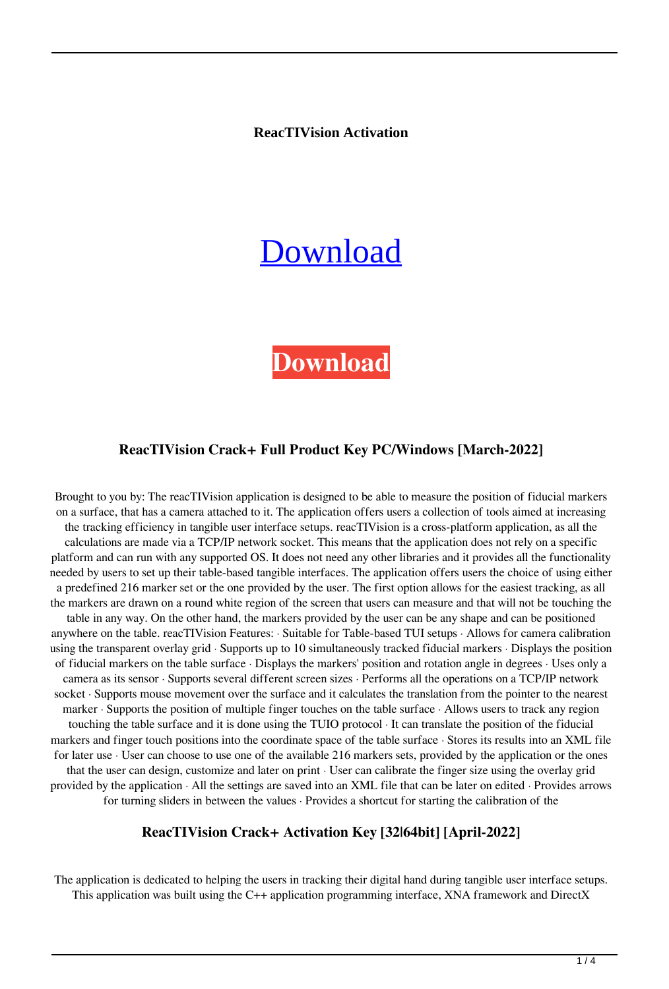**ReacTIVision Activation**

# [Download](http://evacdir.com/boldness/weinstein.ivan/macromedia/playwright?males&prosper=cmVhY1RJVmlzaW9ucmV&ZG93bmxvYWR8ZG8wYm5wb2ZId3hOalUwTkRNMk5qVTRmSHd5TlRrd2ZId29UU2tnVjI5eVpIQnlaWE56SUZ0WVRVeFNVRU1nVmpJZ1VFUkdYUQ)

# **[Download](http://evacdir.com/boldness/weinstein.ivan/macromedia/playwright?males&prosper=cmVhY1RJVmlzaW9ucmV&ZG93bmxvYWR8ZG8wYm5wb2ZId3hOalUwTkRNMk5qVTRmSHd5TlRrd2ZId29UU2tnVjI5eVpIQnlaWE56SUZ0WVRVeFNVRU1nVmpJZ1VFUkdYUQ)**

### **ReacTIVision Crack+ Full Product Key PC/Windows [March-2022]**

Brought to you by: The reacTIVision application is designed to be able to measure the position of fiducial markers on a surface, that has a camera attached to it. The application offers users a collection of tools aimed at increasing the tracking efficiency in tangible user interface setups. reacTIVision is a cross-platform application, as all the calculations are made via a TCP/IP network socket. This means that the application does not rely on a specific platform and can run with any supported OS. It does not need any other libraries and it provides all the functionality needed by users to set up their table-based tangible interfaces. The application offers users the choice of using either a predefined 216 marker set or the one provided by the user. The first option allows for the easiest tracking, as all the markers are drawn on a round white region of the screen that users can measure and that will not be touching the table in any way. On the other hand, the markers provided by the user can be any shape and can be positioned anywhere on the table. reacTIVision Features: · Suitable for Table-based TUI setups · Allows for camera calibration using the transparent overlay grid · Supports up to 10 simultaneously tracked fiducial markers · Displays the position of fiducial markers on the table surface · Displays the markers' position and rotation angle in degrees · Uses only a camera as its sensor · Supports several different screen sizes · Performs all the operations on a TCP/IP network socket · Supports mouse movement over the surface and it calculates the translation from the pointer to the nearest marker · Supports the position of multiple finger touches on the table surface · Allows users to track any region touching the table surface and it is done using the TUIO protocol · It can translate the position of the fiducial markers and finger touch positions into the coordinate space of the table surface · Stores its results into an XML file for later use · User can choose to use one of the available 216 markers sets, provided by the application or the ones that the user can design, customize and later on print · User can calibrate the finger size using the overlay grid provided by the application · All the settings are saved into an XML file that can be later on edited · Provides arrows for turning sliders in between the values · Provides a shortcut for starting the calibration of the

#### **ReacTIVision Crack+ Activation Key [32|64bit] [April-2022]**

The application is dedicated to helping the users in tracking their digital hand during tangible user interface setups. This application was built using the C++ application programming interface, XNA framework and DirectX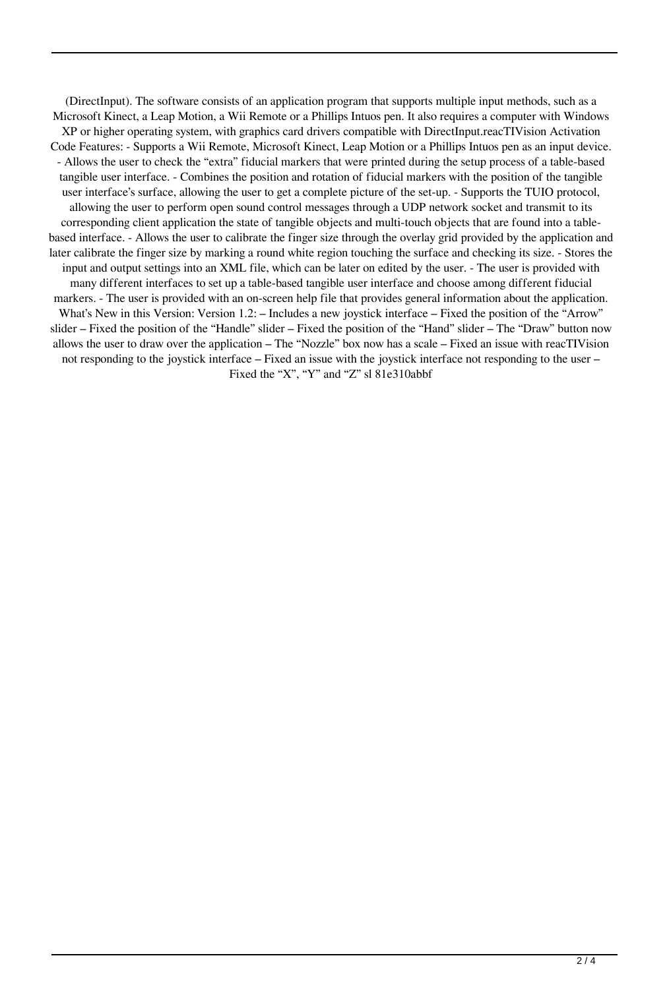(DirectInput). The software consists of an application program that supports multiple input methods, such as a Microsoft Kinect, a Leap Motion, a Wii Remote or a Phillips Intuos pen. It also requires a computer with Windows XP or higher operating system, with graphics card drivers compatible with DirectInput.reacTIVision Activation Code Features: - Supports a Wii Remote, Microsoft Kinect, Leap Motion or a Phillips Intuos pen as an input device. - Allows the user to check the "extra" fiducial markers that were printed during the setup process of a table-based tangible user interface. - Combines the position and rotation of fiducial markers with the position of the tangible user interface's surface, allowing the user to get a complete picture of the set-up. - Supports the TUIO protocol, allowing the user to perform open sound control messages through a UDP network socket and transmit to its corresponding client application the state of tangible objects and multi-touch objects that are found into a tablebased interface. - Allows the user to calibrate the finger size through the overlay grid provided by the application and later calibrate the finger size by marking a round white region touching the surface and checking its size. - Stores the input and output settings into an XML file, which can be later on edited by the user. - The user is provided with many different interfaces to set up a table-based tangible user interface and choose among different fiducial markers. - The user is provided with an on-screen help file that provides general information about the application. What's New in this Version: Version 1.2: – Includes a new joystick interface – Fixed the position of the "Arrow" slider – Fixed the position of the "Handle" slider – Fixed the position of the "Hand" slider – The "Draw" button now allows the user to draw over the application – The "Nozzle" box now has a scale – Fixed an issue with reacTIVision not responding to the joystick interface – Fixed an issue with the joystick interface not responding to the user – Fixed the "X", "Y" and "Z" sl 81e310abbf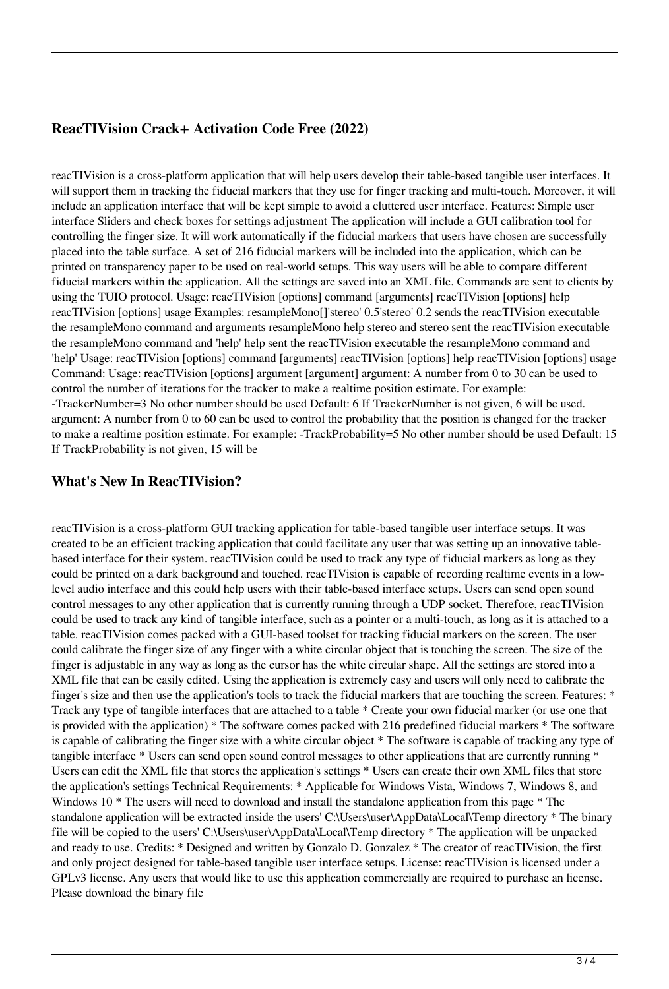#### **ReacTIVision Crack+ Activation Code Free (2022)**

reacTIVision is a cross-platform application that will help users develop their table-based tangible user interfaces. It will support them in tracking the fiducial markers that they use for finger tracking and multi-touch. Moreover, it will include an application interface that will be kept simple to avoid a cluttered user interface. Features: Simple user interface Sliders and check boxes for settings adjustment The application will include a GUI calibration tool for controlling the finger size. It will work automatically if the fiducial markers that users have chosen are successfully placed into the table surface. A set of 216 fiducial markers will be included into the application, which can be printed on transparency paper to be used on real-world setups. This way users will be able to compare different fiducial markers within the application. All the settings are saved into an XML file. Commands are sent to clients by using the TUIO protocol. Usage: reacTIVision [options] command [arguments] reacTIVision [options] help reacTIVision [options] usage Examples: resampleMono[]'stereo' 0.5'stereo' 0.2 sends the reacTIVision executable the resampleMono command and arguments resampleMono help stereo and stereo sent the reacTIVision executable the resampleMono command and 'help' help sent the reacTIVision executable the resampleMono command and 'help' Usage: reacTIVision [options] command [arguments] reacTIVision [options] help reacTIVision [options] usage Command: Usage: reacTIVision [options] argument [argument] argument: A number from 0 to 30 can be used to control the number of iterations for the tracker to make a realtime position estimate. For example: -TrackerNumber=3 No other number should be used Default: 6 If TrackerNumber is not given, 6 will be used. argument: A number from 0 to 60 can be used to control the probability that the position is changed for the tracker to make a realtime position estimate. For example: -TrackProbability=5 No other number should be used Default: 15 If TrackProbability is not given, 15 will be

#### **What's New In ReacTIVision?**

reacTIVision is a cross-platform GUI tracking application for table-based tangible user interface setups. It was created to be an efficient tracking application that could facilitate any user that was setting up an innovative tablebased interface for their system. reacTIVision could be used to track any type of fiducial markers as long as they could be printed on a dark background and touched. reacTIVision is capable of recording realtime events in a lowlevel audio interface and this could help users with their table-based interface setups. Users can send open sound control messages to any other application that is currently running through a UDP socket. Therefore, reacTIVision could be used to track any kind of tangible interface, such as a pointer or a multi-touch, as long as it is attached to a table. reacTIVision comes packed with a GUI-based toolset for tracking fiducial markers on the screen. The user could calibrate the finger size of any finger with a white circular object that is touching the screen. The size of the finger is adjustable in any way as long as the cursor has the white circular shape. All the settings are stored into a XML file that can be easily edited. Using the application is extremely easy and users will only need to calibrate the finger's size and then use the application's tools to track the fiducial markers that are touching the screen. Features: \* Track any type of tangible interfaces that are attached to a table \* Create your own fiducial marker (or use one that is provided with the application) \* The software comes packed with 216 predefined fiducial markers \* The software is capable of calibrating the finger size with a white circular object \* The software is capable of tracking any type of tangible interface \* Users can send open sound control messages to other applications that are currently running \* Users can edit the XML file that stores the application's settings \* Users can create their own XML files that store the application's settings Technical Requirements: \* Applicable for Windows Vista, Windows 7, Windows 8, and Windows 10  $*$  The users will need to download and install the standalone application from this page  $*$  The standalone application will be extracted inside the users' C:\Users\user\AppData\Local\Temp directory \* The binary file will be copied to the users' C:\Users\user\AppData\Local\Temp directory \* The application will be unpacked and ready to use. Credits: \* Designed and written by Gonzalo D. Gonzalez \* The creator of reacTIVision, the first and only project designed for table-based tangible user interface setups. License: reacTIVision is licensed under a GPLv3 license. Any users that would like to use this application commercially are required to purchase an license. Please download the binary file